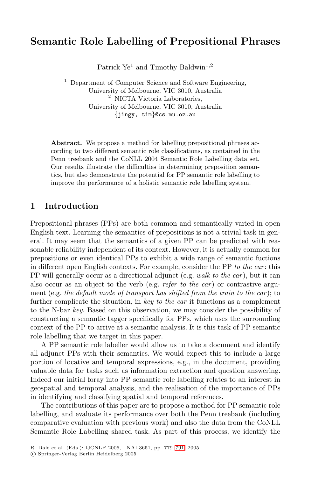# **Semantic Role Labelling of Prepositional Phrases**

Patrick  $Ye^{1}$  and Timothy Baldwin<sup>1,2</sup>

<sup>1</sup> Department of Computer Science and Software Engineering, University of Melbourne, VIC 3010, Australia <sup>2</sup> NICTA Victoria Laboratories, University of Melbourne, VIC 3010, Australia {jingy, tim}@cs.mu.oz.au

**Abstract.** We propose a method for labelling prepositional phrases according to two different semantic role classifications, as contained in the Penn treebank and the CoNLL 2004 Semantic Role Labelling data set. Our results illustrate the difficulties in determining preposition semantics, but also demonstrate the potential for PP semantic role labelling to improve the performance of a holistic semantic role labelling system.

### **1 Introduction**

Prepositional phrases (PPs) are both common and semantically varied in open English text. Learning the semantics of prepositions is not a trivial task in general. It may seem that the semantics of a given PP can be predicted with reasonable reliability independent of its context. However, it is actually common for prepositions or even identical PPs to exhibit a wide range of semantic fuctions in different open English contexts. For example, consider the PP to the car: this PP will generally occur as a directional adjunct (e.g. walk to the car), but it can also occur as an object to the verb (e.g. refer to the car) or contrastive argument (e.g. the default mode of transport has shifted from the train to the car); to further complicate the situation, in key to the car it functions as a complement to the N-bar key. Based on this observation, we may consider the possibility of constructing a semantic tagger specifically for PPs, which uses the surrounding context of the PP to arrive at a semantic analysis. It is this task of PP semantic role labelling that we target in this paper.

A PP semantic role labeller would allow us to take a document and identify all adjunct PPs with their semantics. We would expect this to include a large portion of locative and temporal expressions, e.g., in the document, providing valuable data for tasks such as information extraction and question answering. Indeed our initial foray into PP semantic role labelling relates to an interest in geospatial and temporal analysis, and the realisation of the importance of PPs in identifying and classifying spatial and temporal references.

The contributions of this paper are to propose a method for PP semantic role labelling, and evaluate its performance over both the Penn treebank (including comparative evaluation with previous work) and also the data from the CoNLL Semantic Role Labelling shared task. As part of this process, we identify the

c Springer-Verlag Berlin Heidelberg 2005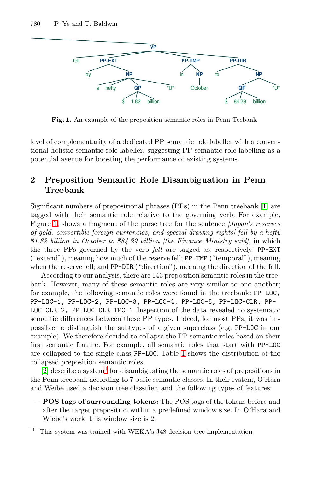

<span id="page-1-0"></span>**Fig. 1.** An example of the preposition semantic roles in Penn Teebank

level of complementarity of a dedicated PP semantic role labeller with a conventional holistic semantic role labeller, suggesting PP semantic role labelling as a potential avenue for boosting the performance of existing systems.

# **2 Preposition Semantic Role Disambiguation in Penn Treebank**

Significant numbers of prepositional phrases (PPs) in the Penn treebank [\[1\]](#page-11-1) are tagged with their semantic role relative to the governing verb. For example, Figure [1,](#page-1-0) shows a fragment of the parse tree for the sentence [Japan's reserves of gold, convertible foreign currencies, and special drawing rights] fell by a hefty *\$*1.82 billion in October to *\$*84.29 billion [the Finance Ministry said], in which the three PPs governed by the verb fell are tagged as, respectively: PP-EXT ("extend"), meaning how much of the reserve fell; PP-TMP ("temporal"), meaning when the reserve fell; and PP-DIR ("direction"), meaning the direction of the fall.

According to our analysis, there are 143 preposition semantic roles in the treebank. However, many of these semantic roles are very similar to one another; for example, the following semantic roles were found in the treebank: PP-LOC, PP-LOC-1, PP-LOC-2, PP-LOC-3, PP-LOC-4, PP-LOC-5, PP-LOC-CLR, PP-LOC-CLR-2, PP-LOC-CLR-TPC-1. Inspection of the data revealed no systematic semantic differences between these PP types. Indeed, for most PPs, it was impossible to distinguish the subtypes of a given superclass (e.g. PP-LOC in our example). We therefore decided to collapse the PP semantic roles based on their first semantic feature. For example, all semantic roles that start with PP-LOC are collapsed to the single class PP-LOC. Table [1](#page-2-0) shows the distribution of the collapsed preposition semantic roles.

 $[2]$  describe a system<sup>[1](#page-1-1)</sup> for disambiguating the semantic roles of prepositions in the Penn treebank according to 7 basic semantic classes. In their system, O'Hara and Weibe used a decision tree classifier, and the following types of features:

**– POS tags of surrounding tokens:** The POS tags of the tokens before and after the target preposition within a predefined window size. In O'Hara and Wiebe's work, this window size is 2.

<span id="page-1-1"></span><sup>1</sup> This system was trained with WEKA's J48 decision tree implementation.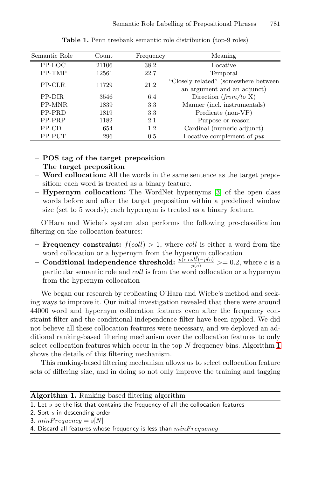<span id="page-2-0"></span>

| Semantic Role | Count | Frequency | Meaning                              |
|---------------|-------|-----------|--------------------------------------|
| PP-LOC        | 21106 | 38.2      | Locative                             |
| PP-TMP        | 12561 | 22.7      | Temporal                             |
| PP-CLR        | 11729 | 21.2      | "Closely related" (somewhere between |
|               |       |           | an argument and an adjunct)          |
| PP-DIR        | 3546  | 6.4       | Direction ( <i>from/to</i> X)        |
| PP-MNR        | 1839  | 3.3       | Manner (incl. instrumentals)         |
| PP-PRD        | 1819  | 3.3       | Predicate (non-VP)                   |
| PP-PRP        | 1182  | 2.1       | Purpose or reason                    |
| PP-CD         | 654   | 1.2.      | Cardinal (numeric adjunct)           |
| PP-PUT        | 296   | 0.5       | Locative complement of put           |

**Table 1.** Penn treebank semantic role distribution (top-9 roles)

- **POS tag of the target preposition**
- **The target preposition**
- **Word collocation:** All the words in the same sentence as the target preposition; each word is treated as a binary feature.
- **Hypernym collocation:** The WordNet hypernyms [\[3\]](#page-11-3) of the open class words before and after the target preposition within a predefined window size (set to 5 words); each hypernym is treated as a binary feature.

O'Hara and Wiebe's system also performs the following pre-classification filtering on the collocation features:

- **Frequency constraint:**  $f(coll) > 1$ , where coll is either a word from the word collocation or a hypernym from the hypernym collocation
- $-$  **Conditional independence threshold:**  $\frac{p(c|coll)-p(c)}{p(c)}$  >= 0.2, where *c* is a particular semantic role and coll is from the word collocation or a hypernym from the hypernym collocation

We began our research by replicating O'Hara and Wiebe's method and seeking ways to improve it. Our initial investigation revealed that there were around 44000 word and hypernym collocation features even after the frequency constraint filter and the conditional independence filter have been applied. We did not believe all these collocation features were necessary, and we deployed an additional ranking-based filtering mechanism over the collocation features to only select collocation features which occur in the top N frequency bins. Algorithm [1](#page-2-1) shows the details of this filtering mechanism.

This ranking-based filtering mechanism allows us to select collocation feature sets of differing size, and in doing so not only improve the training and tagging

<span id="page-2-1"></span>

| <b>Algorithm 1.</b> Ranking based filtering algorithm                            |  |
|----------------------------------------------------------------------------------|--|
| 1. Let s be the list that contains the frequency of all the collocation features |  |
| 2. Sort s in descending order                                                    |  |
| 3. $minFrequency = s[N]$                                                         |  |
| 4. Discard all features whose frequency is less than $minFrequency$              |  |
|                                                                                  |  |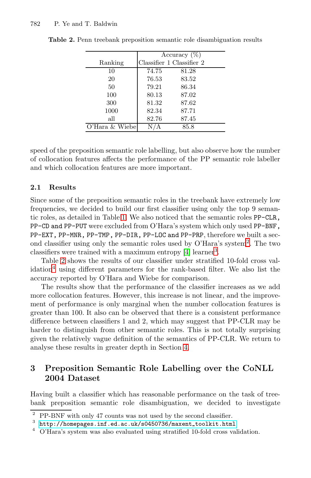|                | Accuracy $(\%)$ |                               |  |  |  |  |  |
|----------------|-----------------|-------------------------------|--|--|--|--|--|
| Ranking        |                 | Classifier $1$ Classifier $2$ |  |  |  |  |  |
| 10             | 74.75           | 81.28                         |  |  |  |  |  |
| 20             | 76.53           | 83.52                         |  |  |  |  |  |
| 50             | 79.21           | 86.34                         |  |  |  |  |  |
| 100            | 80.13           | 87.02                         |  |  |  |  |  |
| 300            | 81.32           | 87.62                         |  |  |  |  |  |
| 1000           | 82.34           | 87.71                         |  |  |  |  |  |
| all            | 82.76           | 87.45                         |  |  |  |  |  |
| O'Hara & Wiebe |                 | 85.8                          |  |  |  |  |  |

<span id="page-3-2"></span>**Table 2.** Penn treebank preposition semantic role disambiguation results

speed of the preposition semantic role labelling, but also observe how the number of collocation features affects the performance of the PP semantic role labeller and which collocation features are more important.

### **2.1 Results**

Since some of the preposition semantic roles in the treebank have extremely low frequencies, we decided to build our first classifier using only the top 9 semantic roles, as detailed in Table [1.](#page-2-0) We also noticed that the semantic roles PP-CLR, PP-CD and PP-PUT were excluded from O'Hara's system which only used PP-BNF, PP-EXT, PP-MNR, PP-TMP, PP-DIR, PP-LOC and PP-PRP, therefore we built a second classifier using only the semantic roles used by O'Hara's system[2](#page-3-0). The two classifiers were trained with a maximum entropy [\[4\]](#page-11-4) learner<sup>[3](#page-3-1)</sup>.

Table [2](#page-3-2) shows the results of our classifier under stratified 10-fold cross val-idation<sup>[4](#page-3-3)</sup> using different parameters for the rank-based filter. We also list the accuracy reported by O'Hara and Wiebe for comparison.

The results show that the performance of the classifier increases as we add more collocation features. However, this increase is not linear, and the improvement of performance is only marginal when the number collocation features is greater than 100. It also can be observed that there is a consistent performance difference between classifiers 1 and 2, which may suggest that PP-CLR may be harder to distinguish from other semantic roles. This is not totally surprising given the relatively vague definition of the semantics of PP-CLR. We return to analyse these results in greater depth in Section [4.](#page-9-0)

# **3 Preposition Semantic Role Labelling over the CoNLL 2004 Dataset**

Having built a classifier which has reasonable performance on the task of treebank preposition semantic role disambiguation, we decided to investigate

<span id="page-3-0"></span><sup>&</sup>lt;sup>2</sup> PP-BNF with only 47 counts was not used by the second classifier.

<sup>3</sup> [http://homepages.inf.ed.ac.uk/s0450736/maxent](http://homepages.inf.ed.ac.uk/s0450736/maxent_toolkit.html) toolkit.html

<span id="page-3-3"></span><span id="page-3-1"></span><sup>4</sup> O'Hara's system was also evaluated using stratified 10-fold cross validation.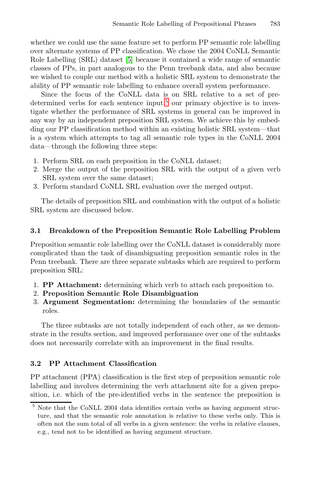whether we could use the same feature set to perform PP semantic role labelling over alternate systems of PP classification. We chose the 2004 CoNLL Semantic Role Labelling (SRL) dataset [\[5\]](#page-11-5) because it contained a wide range of semantic classes of PPs, in part analogous to the Penn treebank data, and also because we wished to couple our method with a holistic SRL system to demonstrate the ability of PP semantic role labelling to enhance overall system performance.

Since the focus of the CoNLL data is on SRL relative to a set of pre-determined verbs for each sentence input,<sup>[5](#page-4-0)</sup> our primary objective is to investigate whether the performance of SRL systems in general can be improved in any way by an independent preposition SRL system. We achieve this by embedding our PP classification method within an existing holistic SRL system—that is a system which attempts to tag all semantic role types in the CoNLL 2004 data—through the following three steps:

- 1. Perform SRL on each preposition in the CoNLL dataset;
- 2. Merge the output of the preposition SRL with the output of a given verb SRL system over the same dataset;
- 3. Perform standard CoNLL SRL evaluation over the merged output.

The details of preposition SRL and combination with the output of a holistic SRL system are discussed below.

### **3.1 Breakdown of the Preposition Semantic Role Labelling Problem**

Preposition semantic role labelling over the CoNLL dataset is considerably more complicated than the task of disambiguating preposition semantic roles in the Penn treebank. There are three separate subtasks which are required to perform preposition SRL:

- 1. **PP Attachment:** determining which verb to attach each preposition to.
- 2. **Preposition Semantic Role Disambiguation**
- 3. **Argument Segmentation:** determining the boundaries of the semantic roles.

The three subtasks are not totally independent of each other, as we demonstrate in the results section, and improved performance over one of the subtasks does not necessarily correlate with an improvement in the final results.

## **3.2 PP Attachment Classification**

PP attachment (PPA) classification is the first step of preposition semantic role labelling and involves determining the verb attachment site for a given preposition, i.e. which of the pre-identified verbs in the sentence the preposition is

<span id="page-4-0"></span> $^5$  Note that the CoNLL 2004 data identifies certain verbs as having argument structure, and that the semantic role annotation is relative to these verbs only. This is often not the sum total of all verbs in a given sentence: the verbs in relative clauses, e.g., tend not to be identified as having argument structure.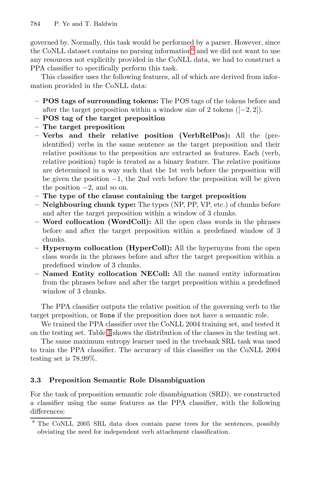governed by. Normally, this task would be performed by a parser. However, since the CoNLL dataset contains no parsing information<sup>[6](#page-5-0)</sup> and we did not want to use any resources not explicitly provided in the CoNLL data, we had to construct a PPA classifier to specifically perform this task.

This classifier uses the following features, all of which are derived from information provided in the CoNLL data:

- **POS tags of surrounding tokens:** The POS tags of the tokens before and after the target preposition within a window size of 2 tokens  $([-2, 2])$ .
- **POS tag of the target preposition**
- **The target preposition**
- **Verbs and their relative position (VerbRelPos):** All the (preidentified) verbs in the same sentence as the target preposition and their relative positions to the preposition are extracted as features. Each (verb, relative position) tuple is treated as a binary feature. The relative positions are determined in a way such that the 1st verb before the preposition will be given the position −1, the 2nd verb before the preposition will be given the position  $-2$ , and so on.
- **The type of the clause containing the target preposition**
- **Neighbouring chunk type:** The types (NP, PP, VP, etc.) of chunks before and after the target preposition within a window of 3 chunks.
- **Word collocation (WordColl):** All the open class words in the phrases before and after the target preposition within a predefined window of 3 chunks.
- **Hypernym collocation (HyperColl):** All the hypernyms from the open class words in the phrases before and after the target preposition within a predefined window of 3 chunks.
- **Named Entity collocation NEColl:** All the named entity information from the phrases before and after the target preposition within a predefined window of 3 chunks.

The PPA classifier outputs the relative position of the governing verb to the target preposition, or None if the preposition does not have a semantic role.

We trained the PPA classifier over the CoNLL 2004 training set, and tested it on the testing set. Table [3](#page-6-0) shows the distribution of the classes in the testing set.

The same maximum entropy learner used in the treebank SRL task was used to train the PPA classifier. The accuracy of this classifier on the CoNLL 2004 testing set is 78.99%.

## **3.3 Preposition Semantic Role Disambiguation**

For the task of preposition semantic role disambiguation (SRD), we constructed a classifier using the same features as the PPA classifier, with the following differences:

<span id="page-5-0"></span><sup>6</sup> The CoNLL 2005 SRL data does contain parse trees for the sentences, possibly obviating the need for independent verb attachment classification.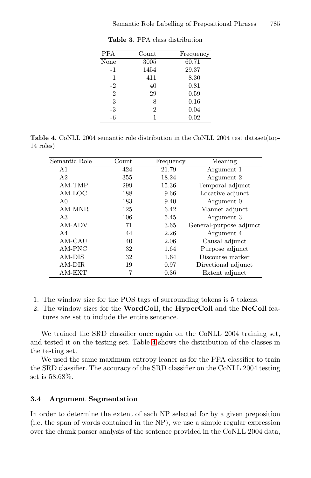| <b>PPA</b>     | Count | Frequency |
|----------------|-------|-----------|
| None           | 3005  | 60.71     |
| $-1$           | 1454  | 29.37     |
| 1              | 411   | 8.30      |
| $-2$           | 40    | 0.81      |
| $\overline{2}$ | 29    | 0.59      |
| 3              | 8     | 0.16      |
| -3             | 2     | 0.04      |
| $-6$           | 1     | 0.02      |

**Table 3.** PPA class distribution

<span id="page-6-1"></span><span id="page-6-0"></span>**Table 4.** CoNLL 2004 semantic role distribution in the CoNLL 2004 test dataset(top-14 roles)

| Semantic Role  | $_{\rm Count}$ | Frequency | Meaning                 |
|----------------|----------------|-----------|-------------------------|
| A <sub>1</sub> | 424            | 21.79     | Argument 1              |
| A <sub>2</sub> | 355            | 18.24     | Argument 2              |
| AM-TMP         | 299            | 15.36     | Temporal adjunct        |
| AM-LOC         | 188            | 9.66      | Locative adjunct        |
| A0             | 183            | 9.40      | Argument 0              |
| AM-MNR         | 125            | 6.42      | Manner adjunct          |
| A3             | 106            | 5.45      | Argument 3              |
| $AM-ADV$       | 71             | 3.65      | General-purpose adjunct |
| A4             | 44             | 2.26      | Argument 4              |
| AM-CAU         | 40             | 2.06      | Causal adjunct          |
| AM-PNC         | 32             | 1.64      | Purpose adjunct         |
| AM-DIS         | 32             | 1.64      | Discourse marker        |
| AM-DIR         | 19             | 0.97      | Directional adjunct     |
| $AM-EXT$       | 7              | 0.36      | Extent adjunct          |

- 1. The window size for the POS tags of surrounding tokens is 5 tokens.
- 2. The window sizes for the **WordColl**, the **HyperColl** and the **NeColl** features are set to include the entire sentence.

We trained the SRD classifier once again on the CoNLL 2004 training set, and tested it on the testing set. Table [4](#page-6-1) shows the distribution of the classes in the testing set.

We used the same maximum entropy leaner as for the PPA classifier to train the SRD classifier. The accuracy of the SRD classifier on the CoNLL 2004 testing set is 58.68%.

#### **3.4 Argument Segmentation**

In order to determine the extent of each NP selected for by a given preposition (i.e. the span of words contained in the NP), we use a simple regular expression over the chunk parser analysis of the sentence provided in the CoNLL 2004 data,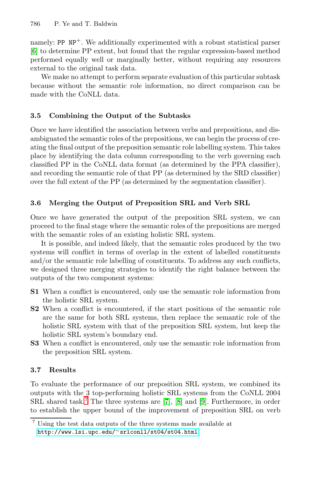namely: PP NP<sup>+</sup>. We additionally experimented with a robust statistical parser [\[6\]](#page-12-0) to determine PP extent, but found that the regular expression-based method performed equally well or marginally better, without requiring any resources external to the original task data.

We make no attempt to perform separate evaluation of this particular subtask because without the semantic role information, no direct comparison can be made with the CoNLL data.

### **3.5 Combining the Output of the Subtasks**

Once we have identified the association between verbs and prepositions, and disambiguated the semantic roles of the prepositions, we can begin the process of creating the final output of the preposition semantic role labelling system. This takes place by identifying the data column corresponding to the verb governing each classified PP in the CoNLL data format (as determined by the PPA classifier), and recording the semantic role of that PP (as determined by the SRD classifier) over the full extent of the PP (as determined by the segmentation classifier).

### <span id="page-7-1"></span>**3.6 Merging the Output of Preposition SRL and Verb SRL**

Once we have generated the output of the preposition SRL system, we can proceed to the final stage where the semantic roles of the prepositions are merged with the semantic roles of an existing holistic SRL system.

It is possible, and indeed likely, that the semantic roles produced by the two systems will conflict in terms of overlap in the extent of labelled constituents and/or the semantic role labelling of constituents. To address any such conflicts, we designed three merging strategies to identify the right balance between the outputs of the two component systems:

- **S1** When a conflict is encountered, only use the semantic role information from the holistic SRL system.
- **S2** When a conflict is encountered, if the start positions of the semantic role are the same for both SRL systems, then replace the semantic role of the holistic SRL system with that of the preposition SRL system, but keep the holistic SRL system's boundary end.
- **S3** When a conflict is encountered, only use the semantic role information from the preposition SRL system.

### **3.7 Results**

To evaluate the performance of our preposition SRL system, we combined its outputs with the 3 top-performing holistic SRL systems from the CoNLL 2004 SRL shared task.[7](#page-7-0) The three systems are [\[7\]](#page-12-1), [\[8\]](#page-12-2) and [\[9\]](#page-12-3). Furthermore, in order to establish the upper bound of the improvement of preposition SRL on verb

<span id="page-7-0"></span> $^7$  Using the test data outputs of the three systems made available at [http://www.lsi.upc.edu/](http://www.lsi.upc.edu/~srlconll/st04/st04.html)∼srlconll/st04/st04.html.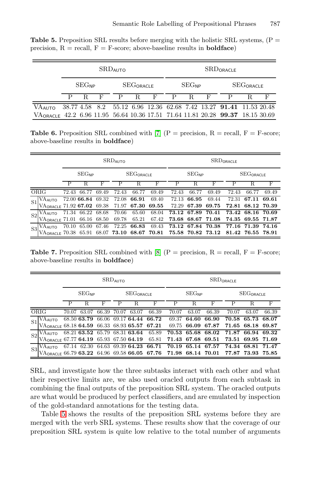|                                                                                              | $\rm SRD_{AUTO}$ |   |              |   |              |              | $\rm SRD_{ORACIF}$ |           |  |   |   |  |
|----------------------------------------------------------------------------------------------|------------------|---|--------------|---|--------------|--------------|--------------------|-----------|--|---|---|--|
|                                                                                              | $SEG_{NP}$       |   | $SEG$ ORACLE |   | $SEG_{NP}$   |              |                    | SEGORACLE |  |   |   |  |
|                                                                                              |                  | R | $\mathbf{F}$ | P | $\mathbf{R}$ | $\mathbf{F}$ | P                  | $R$ F     |  | P | R |  |
| VA <sub>AUTO</sub> 38.77 4.58 8.2 55.12 6.96 12.36 62.68 7.42 13.27 <b>91.41</b> 11.53 20.48 |                  |   |              |   |              |              |                    |           |  |   |   |  |
| VA <sub>ORACLE</sub> 42.2 6.96 11.95 56.64 10.36 17.51 71.64 11.81 20.28 99.37 18.15 30.69   |                  |   |              |   |              |              |                    |           |  |   |   |  |

<span id="page-8-0"></span>**Table 5.** Preposition SRL results before merging with the holistic SRL systems, (P = precision,  $R = \text{recall}, F = F\text{-score}$ ; above-baseline results in **boldface**)

<span id="page-8-1"></span>**Table 6.** Preposition SRL combined with [\[7\]](#page-12-1) (P = precision, R = recall, F = F-score; above-baseline results in **boldface**)

|                |                                                                                             | <b>SRD<sub>AUTO</sub></b> |                   |       |                  |                               |                                        |                         | <b>SRD</b> ORACLE |                |                  |                                        |       |  |
|----------------|---------------------------------------------------------------------------------------------|---------------------------|-------------------|-------|------------------|-------------------------------|----------------------------------------|-------------------------|-------------------|----------------|------------------|----------------------------------------|-------|--|
|                |                                                                                             | $SEG_{NP}$                |                   |       | <b>SEGORACLE</b> |                               |                                        | $SEG_{NP}$              |                   |                | <b>SEGORACLE</b> |                                        |       |  |
|                |                                                                                             |                           | R                 | F     |                  | R                             | F                                      | Р                       | R                 |                |                  | R                                      |       |  |
|                | ORIG                                                                                        | 72.43                     | 66.77             | 69.49 | 72.43            | 66.77                         | 69.49                                  | 72.43                   | 66.77             | 69.49          | 72.43            | 66.77                                  | 69.49 |  |
| S <sub>1</sub> | VA auto<br>VA <sub>ORACLE</sub> 71.92 <b>67.02</b> 69.38                                    |                           | 72.00 66.84 69.32 |       | 72.08            | 66.91                         | 69.40<br>71.97 67.30 69.55 72.29 67.39 | 72.13                   | 66.95             | 69.44<br>69.75 | 72.31<br>72.81   | 67.11<br>68.12 70.39                   | 69.61 |  |
| S <sub>2</sub> | <b>VA<sub>AUTO</sub></b><br>$VA_{ORACIF}$ 71.01 66.16 68.50 69.78 65.21 67.42               |                           |                   |       |                  | 71.34 66.22 68.68 70.66 65.60 |                                        | 68.04 73.12 67.89 70.41 | 73.68 68.67 71.08 |                |                  | 73.42 68.16 70.69<br>74.35 69.55 71.87 |       |  |
| S <sub>3</sub> | <b>VAAUTO</b><br>VA <sub>ORACLE</sub> 70.38 65.91 68.07 73.10 68.67 70.81 75.58 70.82 73.12 | 70.10                     | 65.00             | 67.46 |                  | 72.25 66.83                   |                                        | 69.43 73.12 67.84 70.38 |                   |                |                  | 77.16 71.39 74.16<br>81.42 76.55 78.91 |       |  |

<span id="page-8-2"></span>**Table 7.** Preposition SRL combined with  $[8]$  (P = precision, R = recall, F = F-score; above-baseline results in **boldface**)

|                                        |                                                                                                                                                                                                  | $SRD_{\text{AUTO}}$ |       |           |             |            |       |       | SRD <sub>ORACLE</sub> |       |             |                                                                                                                                                                                                                               |       |  |  |
|----------------------------------------|--------------------------------------------------------------------------------------------------------------------------------------------------------------------------------------------------|---------------------|-------|-----------|-------------|------------|-------|-------|-----------------------|-------|-------------|-------------------------------------------------------------------------------------------------------------------------------------------------------------------------------------------------------------------------------|-------|--|--|
|                                        |                                                                                                                                                                                                  | $SEG_{NP}$          |       | SEGORACLE |             | $SEG_{NP}$ |       |       | <b>SEGORACLE</b>      |       |             |                                                                                                                                                                                                                               |       |  |  |
|                                        |                                                                                                                                                                                                  | P                   | R     | F         | Р           | R.         | F     | P     | R.                    | F     | Р           | R                                                                                                                                                                                                                             | F     |  |  |
|                                        | ORIG                                                                                                                                                                                             | 70.07               | 63.07 |           | 66.39 70.07 | 63.07      | 66.39 | 70.07 | 63.07                 | 66.39 | 70.07       | 63.07                                                                                                                                                                                                                         | 66.39 |  |  |
|                                        | VA <sub>AUTO</sub> 68.50 <b>63.79</b> 66.06 69.17 <b>64.44 66.72</b> 69.37 <b>64.60 66.90</b><br>VA <sub>ORACLE</sub> 68.18 <b>64.59</b> 66.33 68.93 <b>65.57 67.21</b> 69.75 <b>66.09 67.87</b> |                     |       |           |             |            |       |       |                       |       |             |                                                                                                                                                                                                                               |       |  |  |
| S1<br>S <sub>2</sub><br>S <sub>3</sub> |                                                                                                                                                                                                  |                     |       |           |             |            |       |       |                       |       | 71.65       |                                                                                                                                                                                                                               |       |  |  |
|                                        | VA <sub>AUTO</sub> 68.21 63.52 65.79 68.31 63.64 65.89 70.53 65.68 68.02 71.87                                                                                                                   |                     |       |           |             |            |       |       |                       |       |             |                                                                                                                                                                                                                               |       |  |  |
|                                        | VA <sub>ORACLE</sub> 67.77 64.19 65.93 67.50 64.19 65.81 71.43 67.68 69.51                                                                                                                       |                     |       |           |             |            |       |       |                       |       | $\bf 73.51$ | 70.58 65.73 68.07<br>68.18 69.87<br>66.94 69.32<br>69.95 71.69<br>67.14 62.30 64.63 69.39 64.23 66.71 70.19 65.14 67.57 74.34 68.81 71.47<br>VAORACLE 66.79 63.22 64.96 69.58 66.05 67.76 71.98 68.14 70.01 77.87 73.93 75.85 |       |  |  |
|                                        | VA auto                                                                                                                                                                                          |                     |       |           |             |            |       |       |                       |       |             |                                                                                                                                                                                                                               |       |  |  |
|                                        |                                                                                                                                                                                                  |                     |       |           |             |            |       |       |                       |       |             |                                                                                                                                                                                                                               |       |  |  |

SRL, and investigate how the three subtasks interact with each other and what their respective limits are, we also used oracled outputs from each subtask in combining the final outputs of the preposition SRL system. The oracled outputs are what would be produced by perfect classifiers, and are emulated by inspection of the gold-standard annotations for the testing data.

Table [5](#page-8-0) shows the results of the preposition SRL systems before they are merged with the verb SRL systems. These results show that the coverage of our preposition SRL system is quite low relative to the total number of arguments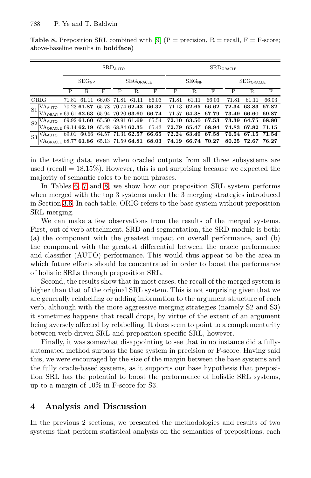|                |                                                                                              | <b>SRD<sub>AUTO</sub></b> |       |                       |       |            |                                                       |       | <b>SRD</b> ORACLE  |       |                                  |                      |                |  |  |
|----------------|----------------------------------------------------------------------------------------------|---------------------------|-------|-----------------------|-------|------------|-------------------------------------------------------|-------|--------------------|-------|----------------------------------|----------------------|----------------|--|--|
|                |                                                                                              | $SEG_{NP}$                |       | SEG <sub>ORACLE</sub> |       | $SEG_{NP}$ |                                                       |       | $\rm SEG_{ORACLE}$ |       |                                  |                      |                |  |  |
|                |                                                                                              |                           |       |                       |       | R.         | F                                                     |       |                    | F     |                                  | R.                   |                |  |  |
|                | ORIG                                                                                         | 71.81                     |       | 66.03                 | 71.81 | 61.11      | 66.03                                                 | 71.81 | 61.11              | 66.03 | 71.81                            | 61.11                | 66.03          |  |  |
| S <sub>1</sub> | VA auto<br>VAORACLE 69.61 62.63 65.94 70.20 63.60 66.74 71.57 64.38 67.79                    |                           |       |                       |       |            | 70.23 61.87 65.78 70.74 62.43 66.32 71.13 62.65       |       |                    | 66.62 | 73.49                            | 72.34 63.83<br>66.60 | 67.82<br>69.87 |  |  |
| S <sub>2</sub> | <b>VA</b> auto<br>VA <sub>ORACLE</sub> 69.14 62.19 65.48 68.84 62.35 65.43 72.79 65.47 68.94 |                           |       |                       |       |            | 69.92 61.60 65.50 69.91 61.69 65.54 72.10 63.50 67.53 |       |                    |       | 74.83 67.82 71.15                | 73.39 64.75 68.80    |                |  |  |
| S <sub>3</sub> | <b>VAAUTO</b><br>VAORACLE 68.77 61.86 65.13 71.59 64.81 68.03 74.19 66.74 70.27              | 69.01                     | 60.66 |                       |       |            | 64.57 71.31 62.57 66.65 72.24 63.49 67.58             |       |                    |       | 76.54 67.15 71.54<br>80.25 72.67 |                      | 76.27          |  |  |

<span id="page-9-1"></span>**Table 8.** Preposition SRL combined with [\[9\]](#page-12-3) (P = precision, R = recall, F = F-score; above-baseline results in **boldface**)

in the testing data, even when oracled outputs from all three subsystems are used (recall  $= 18.15\%$ ). However, this is not surprising because we expected the majority of semantic roles to be noun phrases.

In Tables [6,](#page-8-1) [7](#page-8-2) and [8,](#page-9-1) we show how our preposition SRL system performs when merged with the top 3 systems under the 3 merging strategies introduced in Section [3.6.](#page-7-1) In each table, ORIG refers to the base system without preposition SRL merging.

We can make a few observations from the results of the merged systems. First, out of verb attachment, SRD and segmentation, the SRD module is both: (a) the component with the greatest impact on overall performance, and (b) the component with the greatest differential between the oracle performance and classifier (AUTO) performance. This would thus appear to be the area in which future efforts should be concentrated in order to boost the performance of holistic SRLs through preposition SRL.

Second, the results show that in most cases, the recall of the merged system is higher than that of the original SRL system. This is not surprising given that we are generally relabelling or adding information to the argument structure of each verb, although with the more aggressive merging strategies (namely S2 and S3) it sometimes happens that recall drops, by virtue of the extent of an argument being aversely affected by relabelling. It does seem to point to a complementarity between verb-driven SRL and preposition-specific SRL, however.

Finally, it was somewhat disappointing to see that in no instance did a fullyautomated method surpass the base system in precision or F-score. Having said this, we were encouraged by the size of the margin between the base systems and the fully oracle-based systems, as it supports our base hypothesis that preposition SRL has the potential to boost the performance of holistic SRL systems, up to a margin of 10% in F-score for S3.

## <span id="page-9-0"></span>**4 Analysis and Discussion**

In the previous 2 sections, we presented the methodologies and results of two systems that perform statistical analysis on the semantics of prepositions, each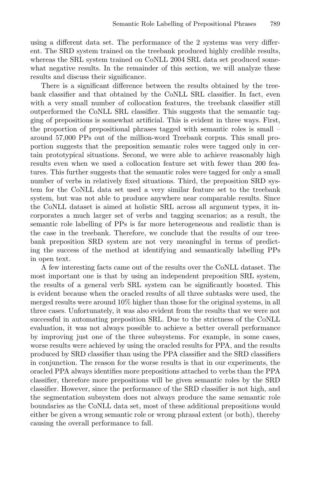using a different data set. The performance of the 2 systems was very different. The SRD system trained on the treebank produced highly credible results, whereas the SRL system trained on CoNLL 2004 SRL data set produced somewhat negative results. In the remainder of this section, we will analyze these results and discuss their significance.

There is a significant difference between the results obtained by the treebank classifier and that obtained by the CoNLL SRL classifier. In fact, even with a very small number of collocation features, the treebank classifier still outperformed the CoNLL SRL classifier. This suggests that the semantic tagging of prepositions is somewhat artificial. This is evident in three ways. First, the proportion of prepositional phrases tagged with semantic roles is small – around 57,000 PPs out of the million-word Treebank corpus. This small proportion suggests that the preposition semantic roles were tagged only in certain prototypical situations. Second, we were able to achieve reasonably high results even when we used a collocation feature set with fewer than 200 features. This further suggests that the semantic roles were tagged for only a small number of verbs in relatively fixed situations. Third, the preposition SRD system for the CoNLL data set used a very similar feature set to the treebank system, but was not able to produce anywhere near comparable results. Since the CoNLL dataset is aimed at holistic SRL across all argument types, it incorporates a much larger set of verbs and tagging scenarios; as a result, the semantic role labelling of PPs is far more heterogeneous and realistic than is the case in the treebank. Therefore, we conclude that the results of our treebank preposition SRD system are not very meaningful in terms of predicting the success of the method at identifying and semantically labelling PPs in open text.

A few interesting facts came out of the results over the CoNLL dataset. The most important one is that by using an independent preposition SRL system, the results of a general verb SRL system can be significantly boosted. This is evident because when the oracled results of all three subtasks were used, the merged results were around 10% higher than those for the original systems, in all three cases. Unfortunately, it was also evident from the results that we were not successful in automating preposition SRL. Due to the strictness of the CoNLL evaluation, it was not always possible to achieve a better overall performance by improving just one of the three subsystems. For example, in some cases, worse results were achieved by using the oracled results for PPA, and the results produced by SRD classifier than using the PPA classifier and the SRD classifiers in conjunction. The reason for the worse results is that in our experiments, the oracled PPA always identifies more prepositions attached to verbs than the PPA classifier, therefore more prepositions will be given semantic roles by the SRD classifier. However, since the performance of the SRD classifier is not high, and the segmentation subsystem does not always produce the same semantic role boundaries as the CoNLL data set, most of these additional prepositions would either be given a wrong semantic role or wrong phrasal extent (or both), thereby causing the overall performance to fall.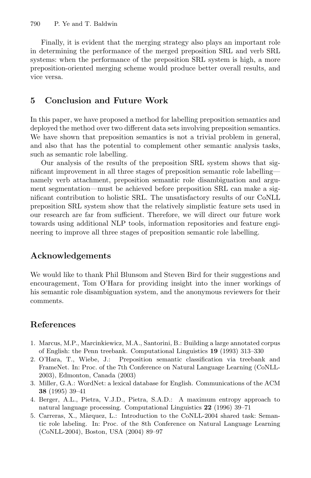Finally, it is evident that the merging strategy also plays an important role in determining the performance of the merged preposition SRL and verb SRL systems: when the performance of the preposition SRL system is high, a more preposition-oriented merging scheme would produce better overall results, and vice versa.

# **5 Conclusion and Future Work**

In this paper, we have proposed a method for labelling preposition semantics and deployed the method over two different data sets involving preposition semantics. We have shown that preposition semantics is not a trivial problem in general, and also that has the potential to complement other semantic analysis tasks, such as semantic role labelling.

Our analysis of the results of the preposition SRL system shows that significant improvement in all three stages of preposition semantic role labelling namely verb attachment, preposition semantic role disambiguation and argument segmentation—must be achieved before preposition SRL can make a significant contribution to holistic SRL. The unsatisfactory results of our CoNLL preposition SRL system show that the relatively simplistic feature sets used in our research are far from sufficient. Therefore, we will direct our future work towards using additional NLP tools, information repositories and feature engineering to improve all three stages of preposition semantic role labelling.

# **Acknowledgements**

We would like to thank Phil Blunsom and Steven Bird for their suggestions and encouragement, Tom O'Hara for providing insight into the inner workings of his semantic role disambiguation system, and the anonymous reviewers for their comments.

# **References**

- <span id="page-11-1"></span><span id="page-11-0"></span>1. Marcus, M.P., Marcinkiewicz, M.A., Santorini, B.: Building a large annotated corpus of English: the Penn treebank. Computational Linguistics **19** (1993) 313–330
- <span id="page-11-2"></span>2. O'Hara, T., Wiebe, J.: Preposition semantic classification via treebank and FrameNet. In: Proc. of the 7th Conference on Natural Language Learning (CoNLL-2003), Edmonton, Canada (2003)
- <span id="page-11-3"></span>3. Miller, G.A.: WordNet: a lexical database for English. Communications of the ACM **38** (1995) 39–41
- <span id="page-11-4"></span>4. Berger, A.L., Pietra, V.J.D., Pietra, S.A.D.: A maximum entropy approach to natural language processing. Computational Linguistics **22** (1996) 39–71
- <span id="page-11-5"></span>5. Carreras, X., Màrquez, L.: Introduction to the CoNLL-2004 shared task: Semantic role labeling. In: Proc. of the 8th Conference on Natural Language Learning (CoNLL-2004), Boston, USA (2004) 89–97